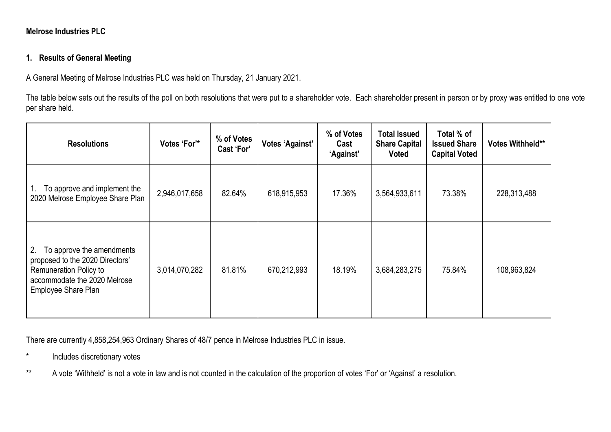## **Melrose Industries PLC**

## **1. Results of General Meeting**

A General Meeting of Melrose Industries PLC was held on Thursday, 21 January 2021.

The table below sets out the results of the poll on both resolutions that were put to a shareholder vote. Each shareholder present in person or by proxy was entitled to one vote per share held.

| <b>Resolutions</b>                                                                                                                                         | Votes 'For'*  | % of Votes<br><b>Cast 'For'</b> | <b>Votes 'Against'</b> | % of Votes<br>Cast<br>'Against' | <b>Total Issued</b><br><b>Share Capital</b><br><b>Voted</b> | Total % of<br><b>Issued Share</b><br><b>Capital Voted</b> | Votes Withheld** |
|------------------------------------------------------------------------------------------------------------------------------------------------------------|---------------|---------------------------------|------------------------|---------------------------------|-------------------------------------------------------------|-----------------------------------------------------------|------------------|
| To approve and implement the<br>2020 Melrose Employee Share Plan                                                                                           | 2,946,017,658 | 82.64%                          | 618,915,953            | 17.36%                          | 3,564,933,611                                               | 73.38%                                                    | 228,313,488      |
| 2.<br>To approve the amendments<br>proposed to the 2020 Directors'<br><b>Remuneration Policy to</b><br>accommodate the 2020 Melrose<br>Employee Share Plan | 3,014,070,282 | 81.81%                          | 670,212,993            | 18.19%                          | 3,684,283,275                                               | 75.84%                                                    | 108,963,824      |

There are currently 4,858,254,963 Ordinary Shares of 48/7 pence in Melrose Industries PLC in issue.

- \* Includes discretionary votes
- \*\* A vote 'Withheld' is not a vote in law and is not counted in the calculation of the proportion of votes 'For' or 'Against' a resolution.